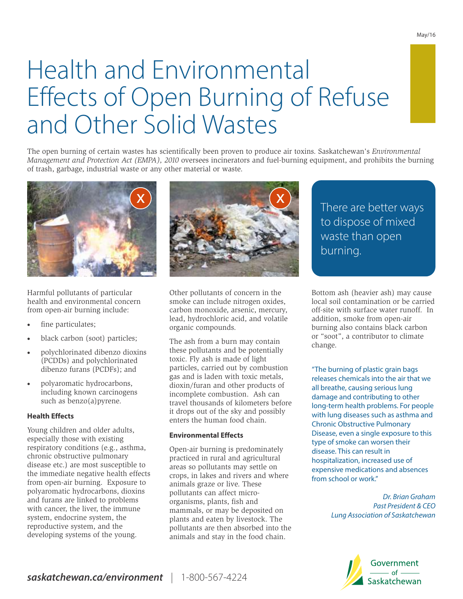# Health and Environmental Effects of Open Burning of Refuse and Other Solid Wastes

The open burning of certain wastes has scientifically been proven to produce air toxins. Saskatchewan's *Environmental Management and Protection Act (EMPA), 2010* oversees incinerators and fuel-burning equipment, and prohibits the burning of trash, garbage, industrial waste or any other material or waste.



Harmful pollutants of particular health and environmental concern from open-air burning include:

- fine particulates;
- black carbon (soot) particles;
- · polychlorinated dibenzo dioxins (PCDDs) and polychlorinated dibenzo furans (PCDFs); and
- polyaromatic hydrocarbons, including known carcinogens such as benzo(a)pyrene.

#### **Health Effects**

Young children and older adults, especially those with existing respiratory conditions (e.g., asthma, chronic obstructive pulmonary disease etc.) are most susceptible to the immediate negative health effects from open-air burning. Exposure to polyaromatic hydrocarbons, dioxins and furans are linked to problems with cancer, the liver, the immune system, endocrine system, the reproductive system, and the developing systems of the young.



Other pollutants of concern in the smoke can include nitrogen oxides, carbon monoxide, arsenic, mercury, lead, hydrochloric acid, and volatile organic compounds.

The ash from a burn may contain these pollutants and be potentially toxic. Fly ash is made of light particles, carried out by combustion gas and is laden with toxic metals, dioxin/furan and other products of incomplete combustion. Ash can travel thousands of kilometers before it drops out of the sky and possibly enters the human food chain.

#### **Environmental Effects**

Open-air burning is predominately practiced in rural and agricultural areas so pollutants may settle on crops, in lakes and rivers and where animals graze or live. These pollutants can affect microorganisms, plants, fish and mammals, or may be deposited on plants and eaten by livestock. The pollutants are then absorbed into the animals and stay in the food chain.

There are better ways to dispose of mixed waste than open burning.

Bottom ash (heavier ash) may cause local soil contamination or be carried off-site with surface water runoff. In addition, smoke from open-air burning also contains black carbon or "soot", a contributor to climate change.

"The burning of plastic grain bags releases chemicals into the air that we all breathe, causing serious lung damage and contributing to other long-term health problems. For people with lung diseases such as asthma and Chronic Obstructive Pulmonary Disease, even a single exposure to this type of smoke can worsen their disease. This can result in hospitalization, increased use of expensive medications and absences from school or work."

> Dr. Brian Graham Past President & CEO Lung Association of Saskatchewan